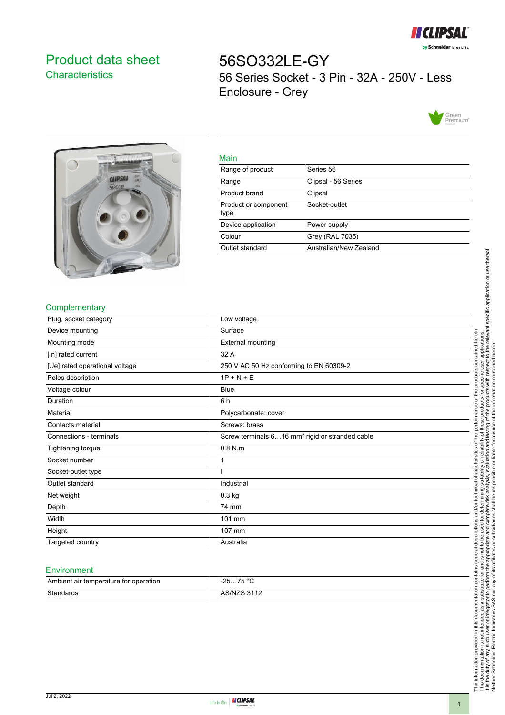

# <span id="page-0-0"></span>Product data sheet **Characteristics**

56SO332LE-GY 56 Series Socket - 3 Pin - 32A - 250V - Less Enclosure - Grey





|   | ٠ |
|---|---|
| × |   |

| Malli                        |                        |
|------------------------------|------------------------|
| Range of product             | Series 56              |
| Range                        | Clipsal - 56 Series    |
| Product brand                | Clipsal                |
| Product or component<br>type | Socket-outlet          |
| Device application           | Power supply           |
| Colour                       | Grey (RAL 7035)        |
| Outlet standard              | Australian/New Zealand |
|                              |                        |

## **Complementary**

| Plug, socket category          | Low voltage                                                 |
|--------------------------------|-------------------------------------------------------------|
| Device mounting                | Surface                                                     |
| Mounting mode                  | <b>External mounting</b>                                    |
| [In] rated current             | 32 A                                                        |
| [Ue] rated operational voltage | 250 V AC 50 Hz conforming to EN 60309-2                     |
| Poles description              | $1P + N + E$                                                |
| Voltage colour                 | <b>Blue</b>                                                 |
| Duration                       | 6 h                                                         |
| Material                       | Polycarbonate: cover                                        |
| Contacts material              | Screws: brass                                               |
| Connections - terminals        | Screw terminals 616 mm <sup>2</sup> rigid or stranded cable |
| Tightening torque              | $0.8$ N.m                                                   |
| Socket number                  | 1                                                           |
| Socket-outlet type             |                                                             |
| Outlet standard                | Industrial                                                  |
| Net weight                     | $0.3$ kg                                                    |
| Depth                          | 74 mm                                                       |
| Width                          | 101 mm                                                      |
| Height                         | 107 mm                                                      |
| Targeted country               | Australia                                                   |

#### **Environment**

| Ambient air temperature for operation | 75 °C<br>ว⊏<br>. <b>. ب</b><br><b>20</b> |
|---------------------------------------|------------------------------------------|
| Standards                             | <b>ARINIZR 3112</b>                      |